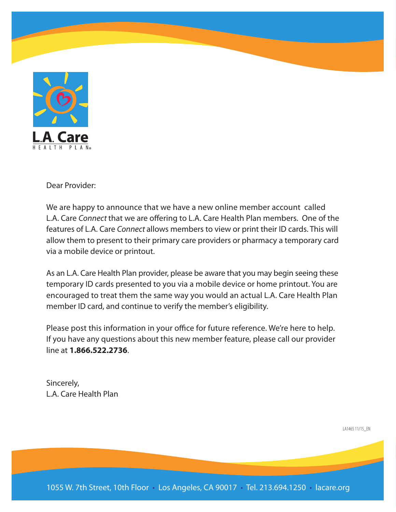

Dear Provider:

We are happy to announce that we have a new online member account called L.A. Care Connect that we are offering to L.A. Care Health Plan members. One of the features of L.A. Care *Connect* allows members to view or print their ID cards. This will allow them to present to their primary care providers or pharmacy a temporary card via a mobile device or printout.

As an L.A. Care Health Plan provider, please be aware that you may begin seeing these temporary ID cards presented to you via a mobile device or home printout. You are encouraged to treat them the same way you would an actual L.A. Care Health Plan member ID card, and continue to verify the member's eligibility.

Please post this information in your office for future reference. We're here to help. If you have any questions about this new member feature, please call our provider **line at 1,866,522,2736** 

Sincerely, L.A. Care Health Plan

LA1465 11/15 EN

1055 W. 7th Street, 10th Floor • Los Angeles, CA 90017 • Tel. 213.694.1250 • lacare.org